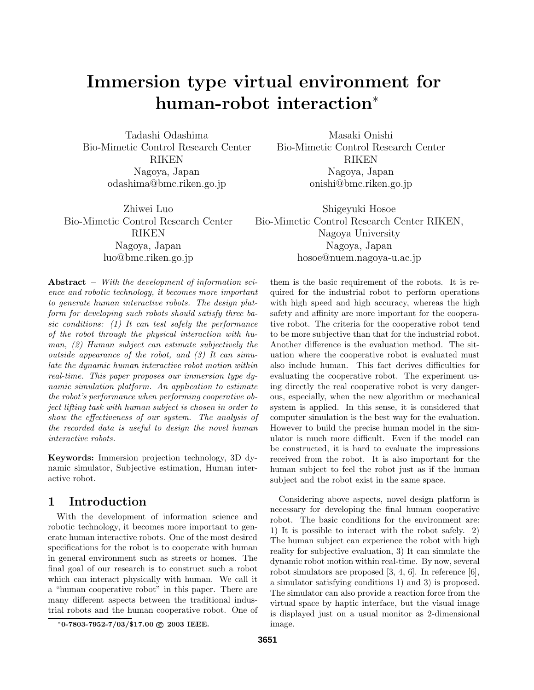# **Immersion type virtual environment for human-robot interaction**<sup>∗</sup>

Tadashi Odashima Bio-Mimetic Control Research Center RIKEN Nagoya, Japan odashima@bmc.riken.go.jp

Zhiwei Luo Bio-Mimetic Control Research Center RIKEN Nagoya, Japan luo@bmc.riken.go.jp

**Abstract –** *With the development of information science and robotic technology, it becomes more important to generate human interactive robots. The design platform for developing such robots should satisfy three basic conditions: (1) It can test safely the performance of the robot through the physical interaction with human, (2) Human subject can estimate subjectively the outside appearance of the robot, and (3) It can simulate the dynamic human interactive robot motion within real-time. This paper proposes our immersion type dynamic simulation platform. An application to estimate the robot's performance when performing cooperative object lifting task with human subject is chosen in order to show the effectiveness of our system. The analysis of the recorded data is useful to design the novel human interactive robots.*

**Keywords:** Immersion projection technology, 3D dynamic simulator, Subjective estimation, Human interactive robot.

# **1 Introduction**

With the development of information science and robotic technology, it becomes more important to generate human interactive robots. One of the most desired specifications for the robot is to cooperate with human in general environment such as streets or homes. The final goal of our research is to construct such a robot which can interact physically with human. We call it a "human cooperative robot" in this paper. There are many different aspects between the traditional industrial robots and the human cooperative robot. One of

∗**0-7803-7952-7/03/\$17.00 c 2003 IEEE.**

Masaki Onishi Bio-Mimetic Control Research Center RIKEN Nagoya, Japan onishi@bmc.riken.go.jp

Shigeyuki Hosoe Bio-Mimetic Control Research Center RIKEN, Nagoya University Nagoya, Japan hosoe@nuem.nagoya-u.ac.jp

them is the basic requirement of the robots. It is required for the industrial robot to perform operations with high speed and high accuracy, whereas the high safety and affinity are more important for the cooperative robot. The criteria for the cooperative robot tend to be more subjective than that for the industrial robot. Another difference is the evaluation method. The situation where the cooperative robot is evaluated must also include human. This fact derives difficulties for evaluating the cooperative robot. The experiment using directly the real cooperative robot is very dangerous, especially, when the new algorithm or mechanical system is applied. In this sense, it is considered that computer simulation is the best way for the evaluation. However to build the precise human model in the simulator is much more difficult. Even if the model can be constructed, it is hard to evaluate the impressions received from the robot. It is also important for the human subject to feel the robot just as if the human subject and the robot exist in the same space.

Considering above aspects, novel design platform is necessary for developing the final human cooperative robot. The basic conditions for the environment are: 1) It is possible to interact with the robot safely. 2) The human subject can experience the robot with high reality for subjective evaluation, 3) It can simulate the dynamic robot motion within real-time. By now, several robot simulators are proposed [3, 4, 6]. In reference [6], a simulator satisfying conditions 1) and 3) is proposed. The simulator can also provide a reaction force from the virtual space by haptic interface, but the visual image is displayed just on a usual monitor as 2-dimensional image.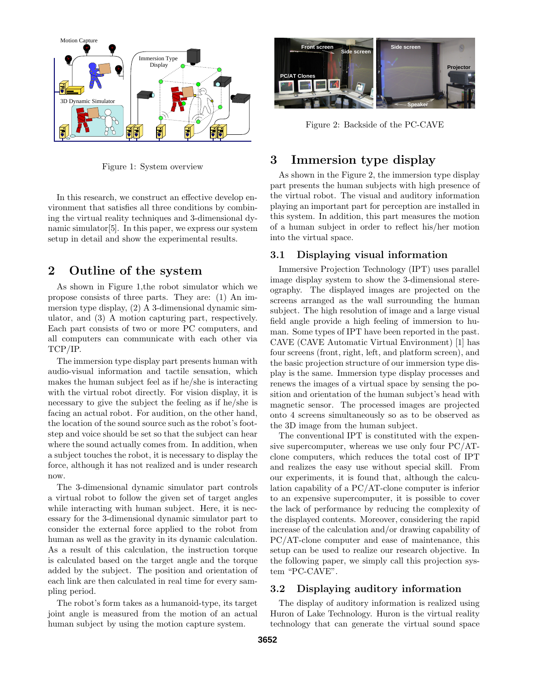

Figure 1: System overview

In this research, we construct an effective develop environment that satisfies all three conditions by combining the virtual reality techniques and 3-dimensional dynamic simulator[5]. In this paper, we express our system setup in detail and show the experimental results.

## **2 Outline of the system**

As shown in Figure 1,the robot simulator which we propose consists of three parts. They are: (1) An immersion type display, (2) A 3-dimensional dynamic simulator, and (3) A motion capturing part, respectively. Each part consists of two or more PC computers, and all computers can communicate with each other via TCP/IP.

The immersion type display part presents human with audio-visual information and tactile sensation, which makes the human subject feel as if he/she is interacting with the virtual robot directly. For vision display, it is necessary to give the subject the feeling as if he/she is facing an actual robot. For audition, on the other hand, the location of the sound source such as the robot's footstep and voice should be set so that the subject can hear where the sound actually comes from. In addition, when a subject touches the robot, it is necessary to display the force, although it has not realized and is under research now.

The 3-dimensional dynamic simulator part controls a virtual robot to follow the given set of target angles while interacting with human subject. Here, it is necessary for the 3-dimensional dynamic simulator part to consider the external force applied to the robot from human as well as the gravity in its dynamic calculation. As a result of this calculation, the instruction torque is calculated based on the target angle and the torque added by the subject. The position and orientation of each link are then calculated in real time for every sampling period.

The robot's form takes as a humanoid-type, its target joint angle is measured from the motion of an actual human subject by using the motion capture system.



Figure 2: Backside of the PC-CAVE

# **3 Immersion type display**

As shown in the Figure 2, the immersion type display part presents the human subjects with high presence of the virtual robot. The visual and auditory information playing an important part for perception are installed in this system. In addition, this part measures the motion of a human subject in order to reflect his/her motion into the virtual space.

#### **3.1 Displaying visual information**

Immersive Projection Technology (IPT) uses parallel image display system to show the 3-dimensional stereography. The displayed images are projected on the screens arranged as the wall surrounding the human subject. The high resolution of image and a large visual field angle provide a high feeling of immersion to human. Some types of IPT have been reported in the past. CAVE (CAVE Automatic Virtual Environment) [1] has four screens (front, right, left, and platform screen), and the basic projection structure of our immersion type display is the same. Immersion type display processes and renews the images of a virtual space by sensing the position and orientation of the human subject's head with magnetic sensor. The processed images are projected onto 4 screens simultaneously so as to be observed as the 3D image from the human subject.

The conventional IPT is constituted with the expensive supercomputer, whereas we use only four PC/ATclone computers, which reduces the total cost of IPT and realizes the easy use without special skill. From our experiments, it is found that, although the calculation capability of a PC/AT-clone computer is inferior to an expensive supercomputer, it is possible to cover the lack of performance by reducing the complexity of the displayed contents. Moreover, considering the rapid increase of the calculation and/or drawing capability of PC/AT-clone computer and ease of maintenance, this setup can be used to realize our research objective. In the following paper, we simply call this projection system "PC-CAVE".

#### **3.2 Displaying auditory information**

The display of auditory information is realized using Huron of Lake Technology. Huron is the virtual reality technology that can generate the virtual sound space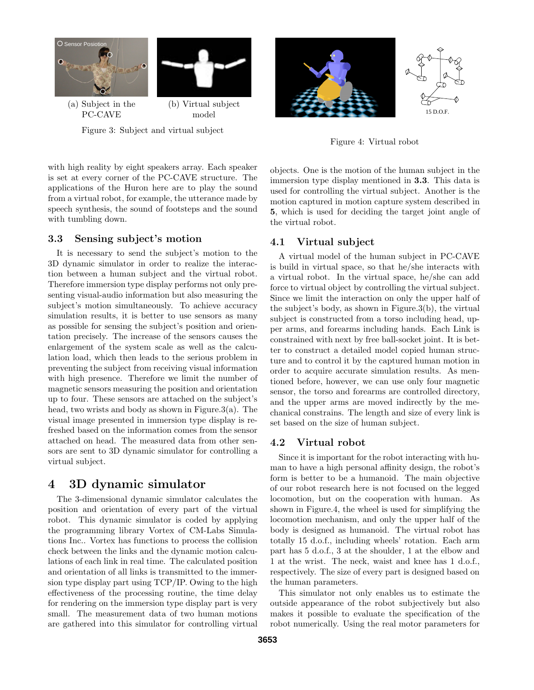

Figure 4: Virtual robot

with high reality by eight speakers array. Each speaker is set at every corner of the PC-CAVE structure. The applications of the Huron here are to play the sound from a virtual robot, for example, the utterance made by speech synthesis, the sound of footsteps and the sound with tumbling down.

#### **3.3 Sensing subject's motion**

It is necessary to send the subject's motion to the 3D dynamic simulator in order to realize the interaction between a human subject and the virtual robot. Therefore immersion type display performs not only presenting visual-audio information but also measuring the subject's motion simultaneously. To achieve accuracy simulation results, it is better to use sensors as many as possible for sensing the subject's position and orientation precisely. The increase of the sensors causes the enlargement of the system scale as well as the calculation load, which then leads to the serious problem in preventing the subject from receiving visual information with high presence. Therefore we limit the number of magnetic sensors measuring the position and orientation up to four. These sensors are attached on the subject's head, two wrists and body as shown in Figure.3(a). The visual image presented in immersion type display is refreshed based on the information comes from the sensor attached on head. The measured data from other sensors are sent to 3D dynamic simulator for controlling a virtual subject.

# **4 3D dynamic simulator**

The 3-dimensional dynamic simulator calculates the position and orientation of every part of the virtual robot. This dynamic simulator is coded by applying the programming library Vortex of CM-Labs Simulations Inc.. Vortex has functions to process the collision check between the links and the dynamic motion calculations of each link in real time. The calculated position and orientation of all links is transmitted to the immersion type display part using TCP/IP. Owing to the high effectiveness of the processing routine, the time delay for rendering on the immersion type display part is very small. The measurement data of two human motions are gathered into this simulator for controlling virtual objects. One is the motion of the human subject in the immersion type display mentioned in **3.3**. This data is used for controlling the virtual subject. Another is the motion captured in motion capture system described in **5**, which is used for deciding the target joint angle of the virtual robot.

#### **4.1 Virtual subject**

A virtual model of the human subject in PC-CAVE is build in virtual space, so that he/she interacts with a virtual robot. In the virtual space, he/she can add force to virtual object by controlling the virtual subject. Since we limit the interaction on only the upper half of the subject's body, as shown in Figure.3(b), the virtual subject is constructed from a torso including head, upper arms, and forearms including hands. Each Link is constrained with next by free ball-socket joint. It is better to construct a detailed model copied human structure and to control it by the captured human motion in order to acquire accurate simulation results. As mentioned before, however, we can use only four magnetic sensor, the torso and forearms are controlled directory, and the upper arms are moved indirectly by the mechanical constrains. The length and size of every link is set based on the size of human subject.

#### **4.2 Virtual robot**

Since it is important for the robot interacting with human to have a high personal affinity design, the robot's form is better to be a humanoid. The main objective of our robot research here is not focused on the legged locomotion, but on the cooperation with human. As shown in Figure.4, the wheel is used for simplifying the locomotion mechanism, and only the upper half of the body is designed as humanoid. The virtual robot has totally 15 d.o.f., including wheels' rotation. Each arm part has 5 d.o.f., 3 at the shoulder, 1 at the elbow and 1 at the wrist. The neck, waist and knee has 1 d.o.f., respectively. The size of every part is designed based on the human parameters.

This simulator not only enables us to estimate the outside appearance of the robot subjectively but also makes it possible to evaluate the specification of the robot numerically. Using the real motor parameters for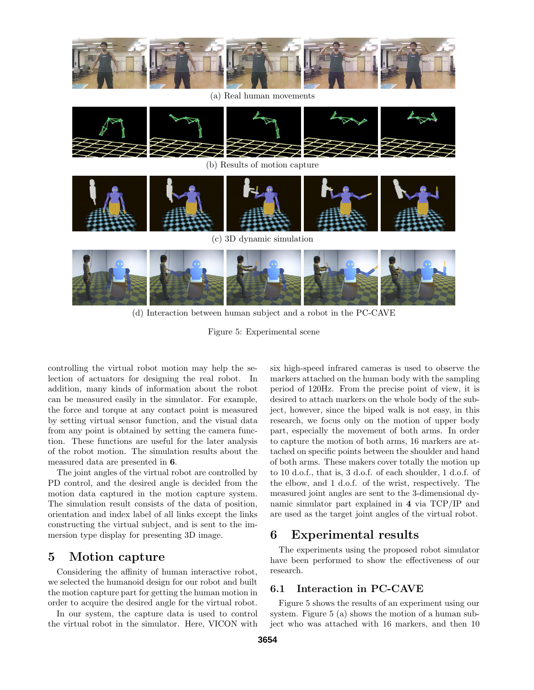

(a) Real human movements



(b) Results of motion capture





(d) Interaction between human subject and a robot in the PC-CAVE

Figure 5: Experimental scene

controlling the virtual robot motion may help the selection of actuators for designing the real robot. In addition, many kinds of information about the robot can be measured easily in the simulator. For example, the force and torque at any contact point is measured by setting virtual sensor function, and the visual data from any point is obtained by setting the camera function. These functions are useful for the later analysis of the robot motion. The simulation results about the measured data are presented in **6**.

The joint angles of the virtual robot are controlled by PD control, and the desired angle is decided from the motion data captured in the motion capture system. The simulation result consists of the data of position, orientation and index label of all links except the links constructing the virtual subject, and is sent to the immersion type display for presenting 3D image.

## **5 Motion capture**

Considering the affinity of human interactive robot, we selected the humanoid design for our robot and built the motion capture part for getting the human motion in order to acquire the desired angle for the virtual robot.

In our system, the capture data is used to control the virtual robot in the simulator. Here, VICON with six high-speed infrared cameras is used to observe the markers attached on the human body with the sampling period of 120Hz. From the precise point of view, it is desired to attach markers on the whole body of the subject, however, since the biped walk is not easy, in this research, we focus only on the motion of upper body part, especially the movement of both arms. In order to capture the motion of both arms, 16 markers are attached on specific points between the shoulder and hand of both arms. These makers cover totally the motion up to 10 d.o.f., that is, 3 d.o.f. of each shoulder, 1 d.o.f. of the elbow, and 1 d.o.f. of the wrist, respectively. The measured joint angles are sent to the 3-dimensional dynamic simulator part explained in **4** via TCP/IP and are used as the target joint angles of the virtual robot.

## **6 Experimental results**

The experiments using the proposed robot simulator have been performed to show the effectiveness of our research.

#### **6.1 Interaction in PC-CAVE**

Figure 5 shows the results of an experiment using our system. Figure 5 (a) shows the motion of a human subject who was attached with 16 markers, and then 10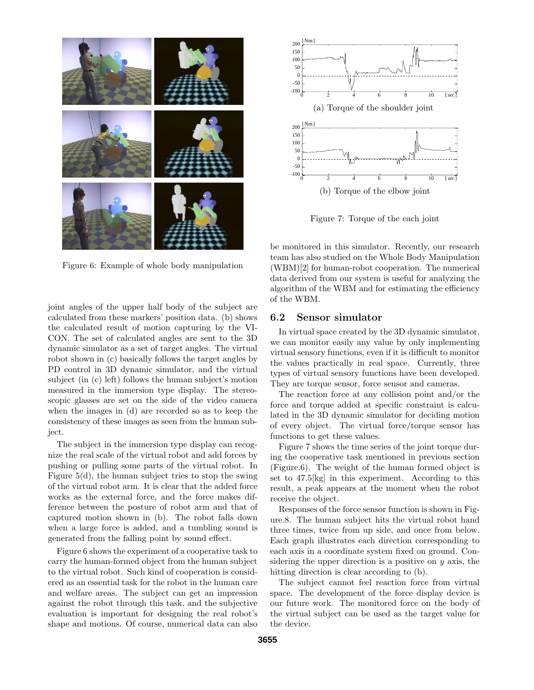

Figure 6: Example of whole body manipulation

joint angles of the upper half body of the subject are calculated from these markers' position data. (b) shows the calculated result of motion capturing by the VI-CON. The set of calculated angles are sent to the 3D dynamic simulator as a set of target angles. The virtual robot shown in (c) basically follows the target angles by PD control in 3D dynamic simulator, and the virtual subject (in (c) left) follows the human subject's motion measured in the immersion type display. The stereoscopic glasses are set on the side of the video camera when the images in (d) are recorded so as to keep the consistency of these images as seen from the human subject.

The subject in the immersion type display can recognize the real scale of the virtual robot and add forces by pushing or pulling some parts of the virtual robot. In Figure 5(d), the human subject tries to stop the swing of the virtual robot arm. It is clear that the added force works as the external force, and the force makes difference between the posture of robot arm and that of captured motion shown in (b). The robot falls down when a large force is added, and a tumbling sound is generated from the falling point by sound effect.

Figure 6 shows the experiment of a cooperative task to carry the human-formed object from the human subject to the virtual robot. Such kind of cooperation is considered as an essential task for the robot in the human care and welfare areas. The subject can get an impression against the robot through this task, and the subjective evaluation is important for designing the real robot's shape and motions. Of course, numerical data can also



Figure 7: Torque of the each joint

be monitored in this simulator. Recently, our research team has also studied on the Whole Body Manipulation (WBM)[2] for human-robot cooperation. The numerical data derived from our system is useful for analyzing the algorithm of the WBM and for estimating the efficiency of the WBM.

#### **6.2 Sensor simulator**

In virtual space created by the 3D dynamic simulator, we can monitor easily any value by only implementing virtual sensory functions, even if it is difficult to monitor the values practically in real space. Currently, three types of virtual sensory functions have been developed. They are torque sensor, force sensor and cameras.

The reaction force at any collision point and/or the force and torque added at specific constraint is calculated in the 3D dynamic simulator for deciding motion of every object. The virtual force/torque sensor has functions to get these values.

Figure 7 shows the time series of the joint torque during the cooperative task mentioned in previous section (Figure.6). The weight of the human formed object is set to 47.5[kg] in this experiment. According to this result, a peak appears at the moment when the robot receive the object.

Responses of the force sensor function is shown in Figure.8. The human subject hits the virtual robot hand three times, twice from up side, and once from below. Each graph illustrates each direction corresponding to each axis in a coordinate system fixed on ground. Considering the upper direction is a positive on *y* axis, the hitting direction is clear according to (b).

The subject cannot feel reaction force from virtual space. The development of the force display device is our future work. The monitored force on the body of the virtual subject can be used as the target value for the device.